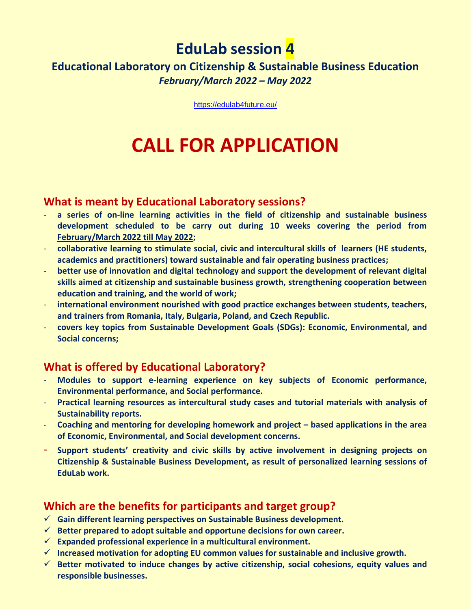# **EduLab session 4**

# **Educational Laboratory on Citizenship & Sustainable Business Education** *February/March 2022 – May 2022*

<https://edulab4future.eu/>

# **CALL FOR APPLICATION**

#### **What is meant by Educational Laboratory sessions?**

- **a series of on-line learning activities in the field of citizenship and sustainable business development scheduled to be carry out during 10 weeks covering the period from February/March 2022 till May 2022;**
- **collaborative learning to stimulate social, civic and intercultural skills of learners (HE students, academics and practitioners) toward sustainable and fair operating business practices;**
- **better use of innovation and digital technology and support the development of relevant digital skills aimed at citizenship and sustainable business growth, strengthening cooperation between education and training, and the world of work;**
- **international environment nourished with good practice exchanges between students, teachers, and trainers from Romania, Italy, Bulgaria, Poland, and Czech Republic.**
- **covers key topics from Sustainable Development Goals (SDGs): Economic, Environmental, and Social concerns;**

# **What is offered by Educational Laboratory?**

- **Modules to support e-learning experience on key subjects of Economic performance, Environmental performance, and Social performance.**
- **Practical learning resources as intercultural study cases and tutorial materials with analysis of Sustainability reports.**
- **Coaching and mentoring for developing homework and project – based applications in the area of Economic, Environmental, and Social development concerns.**
- **Support students' creativity and civic skills by active involvement in designing projects on Citizenship & Sustainable Business Development, as result of personalized learning sessions of EduLab work.**

# **Which are the benefits for participants and target group?**

- ✓ **Gain different learning perspectives on Sustainable Business development.**
- ✓ **Better prepared to adopt suitable and opportune decisions for own career.**
- ✓ **Expanded professional experience in a multicultural environment.**
- ✓ **Increased motivation for adopting EU common values for sustainable and inclusive growth.**
- ✓ **Better motivated to induce changes by active citizenship, social cohesions, equity values and responsible businesses.**